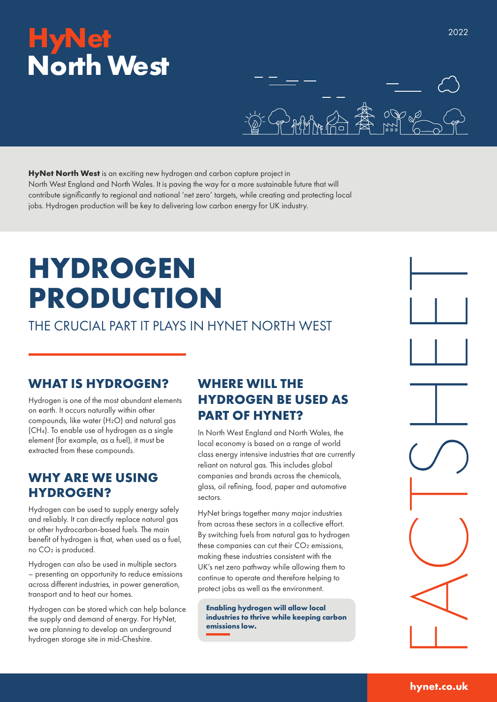## **HyNet North West**



**HyNet North West** is an exciting new hydrogen and carbon capture project in North West England and North Wales. It is paving the way for a more sustainable future that will contribute significantly to regional and national 'net zero' targets, while creating and protecting local jobs. Hydrogen production will be key to delivering low carbon energy for UK industry.

# **HYDROGEN PRODUCTION**

THE CRUCIAL PART IT PLAYS IN HYNET NORTH WEST

#### **WHAT IS HYDROGEN?**

Hydrogen is one of the most abundant elements on earth. It occurs naturally within other compounds, like water (H₂O) and natural gas (CH4). To enable use of hydrogen as a single element (for example, as a fuel), it must be extracted from these compounds.

#### **WHY ARE WE USING HYDROGEN?**

Hydrogen can be used to supply energy safely and reliably. It can directly replace natural gas or other hydrocarbon-based fuels. The main benefit of hydrogen is that, when used as a fuel, no CO₂ is produced.

Hydrogen can also be used in multiple sectors – presenting an opportunity to reduce emissions across different industries, in power generation, transport and to heat our homes.

Hydrogen can be stored which can help balance the supply and demand of energy. For HyNet, we are planning to develop an underground hydrogen storage site in mid-Cheshire.

### **WHERE WILL THE HYDROGEN BE USED AS PART OF HYNET?**

In North West England and North Wales, the local economy is based on a range of world class energy intensive industries that are currently reliant on natural gas. This includes global companies and brands across the chemicals, glass, oil refining, food, paper and automotive sectors.

HyNet brings together many major industries from across these sectors in a collective effort. By switching fuels from natural gas to hydrogen these companies can cut their CO<sub>2</sub> emissions, making these industries consistent with the UK's net zero pathway while allowing them to continue to operate and therefore helping to protect jobs as well as the environment.

**Enabling hydrogen will allow local industries to thrive while keeping carbon emissions low.**